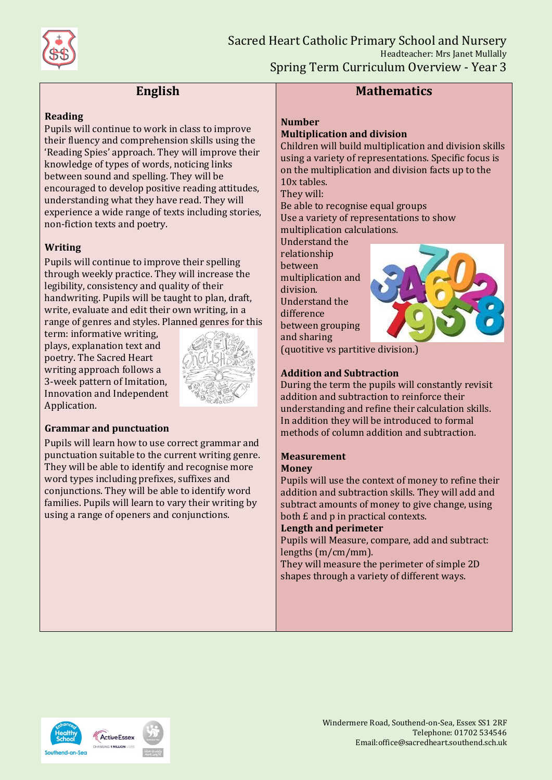

# **English**

#### **Reading**

Pupils will continue to work in class to improve their fluency and comprehension skills using the 'Reading Spies' approach. They will improve their knowledge of types of words, noticing links between sound and spelling. They will be encouraged to develop positive reading attitudes, understanding what they have read. They will experience a wide range of texts including stories, non-fiction texts and poetry.

## **Writing**

Pupils will continue to improve their spelling through weekly practice. They will increase the legibility, consistency and quality of their handwriting. Pupils will be taught to plan, draft, write, evaluate and edit their own writing, in a range of genres and styles. Planned genres for this

term: informative writing, plays, explanation text and poetry. The Sacred Heart writing approach follows a 3-week pattern of Imitation, Innovation and Independent Application.



### **Grammar and punctuation**

Pupils will learn how to use correct grammar and punctuation suitable to the current writing genre. They will be able to identify and recognise more word types including prefixes, suffixes and conjunctions. They will be able to identify word families. Pupils will learn to vary their writing by using a range of openers and conjunctions.

## **Mathematics**

#### **Number**

## **Multiplication and division**

Children will build multiplication and division skills using a variety of representations. Specific focus is on the multiplication and division facts up to the 10x tables.

They will:

Be able to recognise equal groups Use a variety of representations to show multiplication calculations.

Understand the

relationship between multiplication and division. Understand the difference between grouping and sharing



(quotitive vs partitive division.)

### **Addition and Subtraction**

During the term the pupils will constantly revisit addition and subtraction to reinforce their understanding and refine their calculation skills. In addition they will be introduced to formal methods of column addition and subtraction.

### **Measurement**

#### **Money**

Pupils will use the context of money to refine their addition and subtraction skills. They will add and subtract amounts of money to give change, using both £ and p in practical contexts.

#### **Length and perimeter**

Pupils will Measure, compare, add and subtract: lengths (m/cm/mm).

They will measure the perimeter of simple 2D shapes through a variety of different ways.

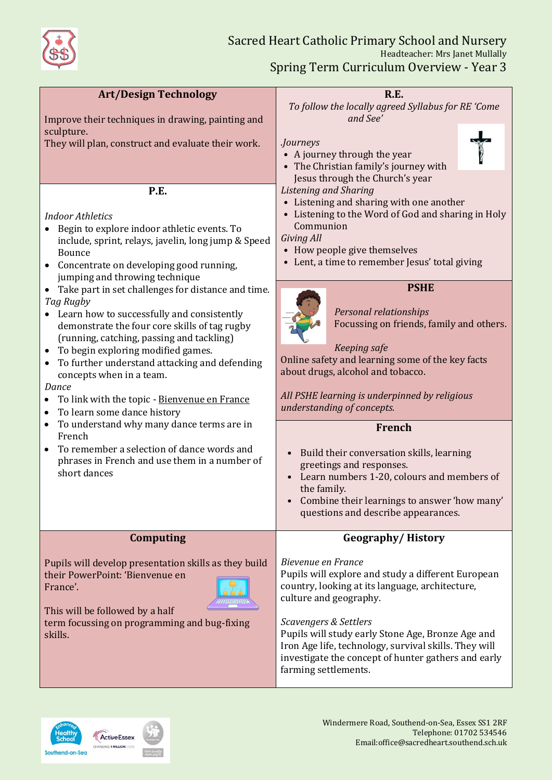

| <b>Art/Design Technology</b>                                                                                                                                                                                                                                                                                                                                                                                                                                                                                                                                                                                                                                                                                                                                                                                                                                                                        | <b>R.E.</b>                                                                                                                                                                                                                                                                                                                                                                                                                                                                                                                                                                                                                                                                                                                                                                               |
|-----------------------------------------------------------------------------------------------------------------------------------------------------------------------------------------------------------------------------------------------------------------------------------------------------------------------------------------------------------------------------------------------------------------------------------------------------------------------------------------------------------------------------------------------------------------------------------------------------------------------------------------------------------------------------------------------------------------------------------------------------------------------------------------------------------------------------------------------------------------------------------------------------|-------------------------------------------------------------------------------------------------------------------------------------------------------------------------------------------------------------------------------------------------------------------------------------------------------------------------------------------------------------------------------------------------------------------------------------------------------------------------------------------------------------------------------------------------------------------------------------------------------------------------------------------------------------------------------------------------------------------------------------------------------------------------------------------|
| Improve their techniques in drawing, painting and<br>sculpture.<br>They will plan, construct and evaluate their work.                                                                                                                                                                                                                                                                                                                                                                                                                                                                                                                                                                                                                                                                                                                                                                               | To follow the locally agreed Syllabus for RE 'Come<br>and See'<br><i>Journeys</i><br>• A journey through the year<br>• The Christian family's journey with<br>Jesus through the Church's year                                                                                                                                                                                                                                                                                                                                                                                                                                                                                                                                                                                             |
| P.E.<br><b>Indoor Athletics</b><br>Begin to explore indoor athletic events. To<br>include, sprint, relays, javelin, long jump & Speed<br>Bounce<br>Concentrate on developing good running,<br>jumping and throwing technique<br>Take part in set challenges for distance and time.<br>$\bullet$<br>Tag Rugby<br>• Learn how to successfully and consistently<br>demonstrate the four core skills of tag rugby<br>(running, catching, passing and tackling)<br>• To begin exploring modified games.<br>• To further understand attacking and defending<br>concepts when in a team.<br>Dance<br>To link with the topic - Bienvenue en France<br>$\bullet$<br>To learn some dance history<br>$\bullet$<br>To understand why many dance terms are in<br>$\bullet$<br>French<br>To remember a selection of dance words and<br>$\bullet$<br>phrases in French and use them in a number of<br>short dances | Listening and Sharing<br>• Listening and sharing with one another<br>• Listening to the Word of God and sharing in Holy<br>Communion<br>Giving All<br>• How people give themselves<br>• Lent, a time to remember Jesus' total giving<br><b>PSHE</b><br>Personal relationships<br>Focussing on friends, family and others.<br>Keeping safe<br>Online safety and learning some of the key facts<br>about drugs, alcohol and tobacco.<br>All PSHE learning is underpinned by religious<br>understanding of concepts.<br><b>French</b><br>Build their conversation skills, learning<br>$\bullet$<br>greetings and responses.<br>Learn numbers 1-20, colours and members of<br>$\bullet$<br>the family.<br>Combine their learnings to answer 'how many'<br>questions and describe appearances. |
| <b>Computing</b>                                                                                                                                                                                                                                                                                                                                                                                                                                                                                                                                                                                                                                                                                                                                                                                                                                                                                    | <b>Geography/History</b>                                                                                                                                                                                                                                                                                                                                                                                                                                                                                                                                                                                                                                                                                                                                                                  |
| Pupils will develop presentation skills as they build<br>their PowerPoint: 'Bienvenue en<br>France'.<br>This will be followed by a half<br>term focussing on programming and bug-fixing<br>skills.                                                                                                                                                                                                                                                                                                                                                                                                                                                                                                                                                                                                                                                                                                  | Bievenue en France<br>Pupils will explore and study a different European<br>country, looking at its language, architecture,<br>culture and geography.<br>Scavengers & Settlers<br>Pupils will study early Stone Age, Bronze Age and<br>Iron Age life, technology, survival skills. They will<br>investigate the concept of hunter gathers and early<br>farming settlements.                                                                                                                                                                                                                                                                                                                                                                                                               |